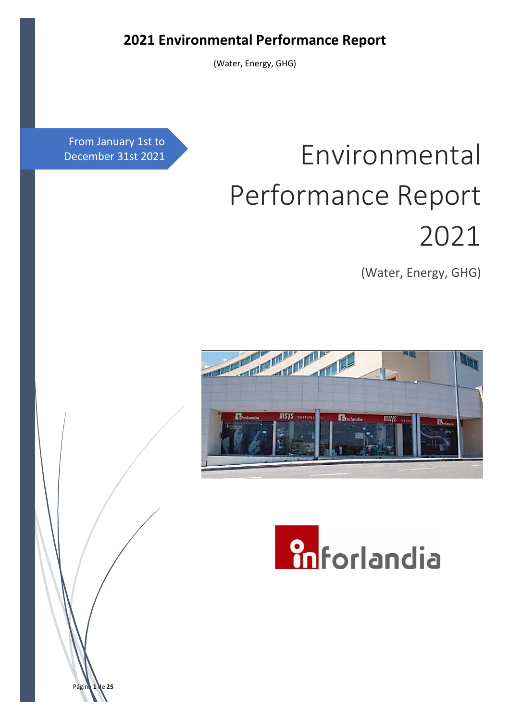(Water, Energy, GHG)

From January 1st to December 31st 2021

# Environmental Performance Report 2021

(Water, Energy, GHG)





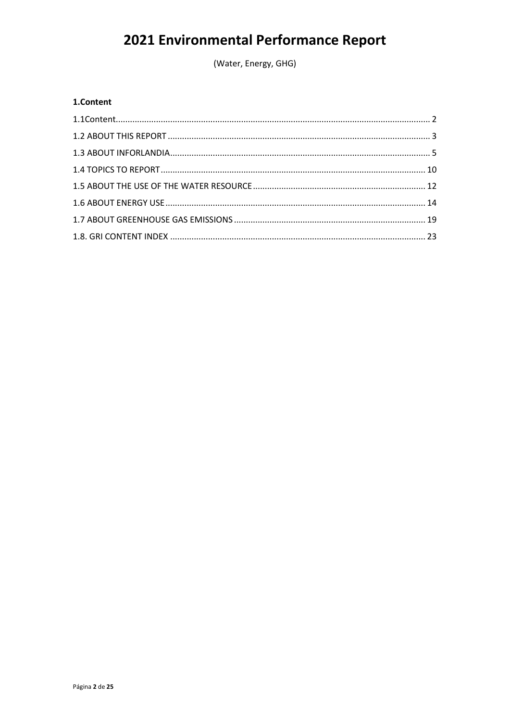(Water, Energy, GHG)

#### <span id="page-1-0"></span>1.Content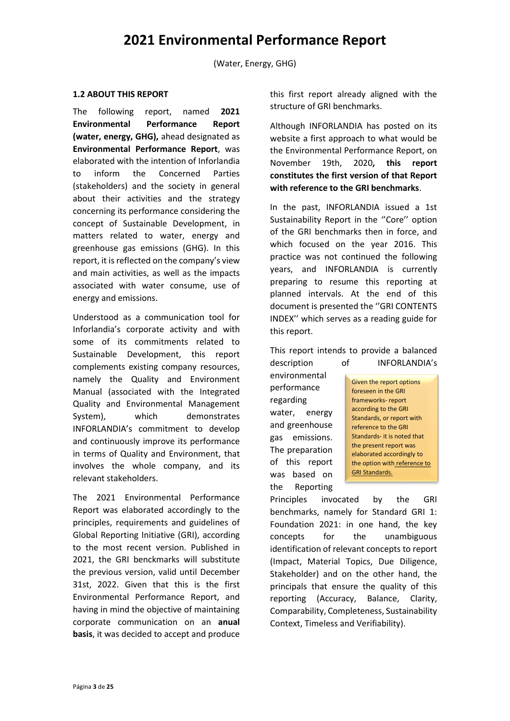(Water, Energy, GHG)

#### <span id="page-2-0"></span>**1.2 ABOUT THIS REPORT**

The following report, named **2021 Environmental Performance Report (water, energy, GHG),** ahead designated as **Environmental Performance Report**, was elaborated with the intention of Inforlandia to inform the Concerned Parties (stakeholders) and the society in general about their activities and the strategy concerning its performance considering the concept of Sustainable Development, in matters related to water, energy and greenhouse gas emissions (GHG). In this report, it is reflected on the company's view and main activities, as well as the impacts associated with water consume, use of energy and emissions.

Understood as a communication tool for Inforlandia's corporate activity and with some of its commitments related to Sustainable Development, this report complements existing company resources, namely the Quality and Environment Manual (associated with the Integrated Quality and Environmental Management System). which demonstrates INFORLANDIA's commitment to develop and continuously improve its performance in terms of Quality and Environment, that involves the whole company, and its relevant stakeholders.

The 2021 Environmental Performance Report was elaborated accordingly to the principles, requirements and guidelines of Global Reporting Initiative (GRI), according to the most recent version. Published in 2021, the GRI benckmarks will substitute the previous version, valid until December 31st, 2022. Given that this is the first Environmental Performance Report, and having in mind the objective of maintaining corporate communication on an **anual basis**, it was decided to accept and produce this first report already aligned with the structure of GRI benchmarks.

Although INFORLANDIA has posted on its website a first approach to what would be the Environmental Performance Report, on November 19th, 2020**, this report constitutes the first version of that Report with reference to the GRI benchmarks**.

In the past, INFORLANDIA issued a 1st Sustainability Report in the ''Core'' option of the GRI benchmarks then in force, and which focused on the year 2016. This practice was not continued the following years, and INFORLANDIA is currently preparing to resume this reporting at planned intervals. At the end of this document is presented the ''GRI CONTENTS INDEX'' which serves as a reading guide for this report.

This report intends to provide a balanced description of INFORLANDIA's

environmental performance regarding water, energy and greenhouse gas emissions. The preparation of this report was based on the Reporting



Principles invocated by the GRI benchmarks, namely for Standard GRI 1: Foundation 2021: in one hand, the key concepts for the unambiguous identification of relevant concepts to report (Impact, Material Topics, Due Diligence, Stakeholder) and on the other hand, the principals that ensure the quality of this reporting (Accuracy, Balance, Clarity, Comparability, Completeness, Sustainability Context, Timeless and Verifiability).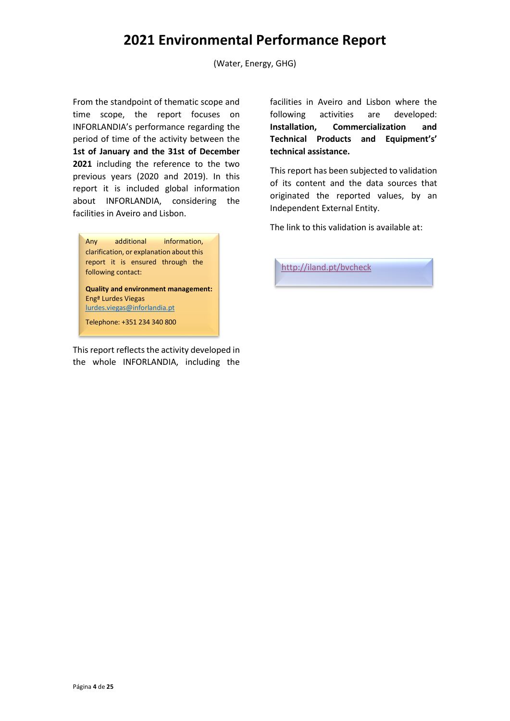(Water, Energy, GHG)

From the standpoint of thematic scope and time scope, the report focuses on INFORLANDIA's performance regarding the period of time of the activity between the **1st of January and the 31st of December 2021** including the reference to the two previous years (2020 and 2019). In this report it is included global information about INFORLANDIA, considering the facilities in Aveiro and Lisbon.

Any additional information, clarification, or explanation about this report it is ensured through the following contact:

**Quality and environment management:** Engª Lurdes Viegas lurdes.viega[s@inforlandia.pt](mailto:suporte@inforlandia.pt)

Telephone: +351 234 340 800

This report reflects the activity developed in the whole INFORLANDIA, including the facilities in Aveiro and Lisbon where the following activities are developed: **Installation, Commercialization and Technical Products and Equipment's' technical assistance.**

This report has been subjected to validation of its content and the data sources that originated the reported values, by an Independent External Entity.

The link to this validation is available at:

<http://iland.pt/bvcheck>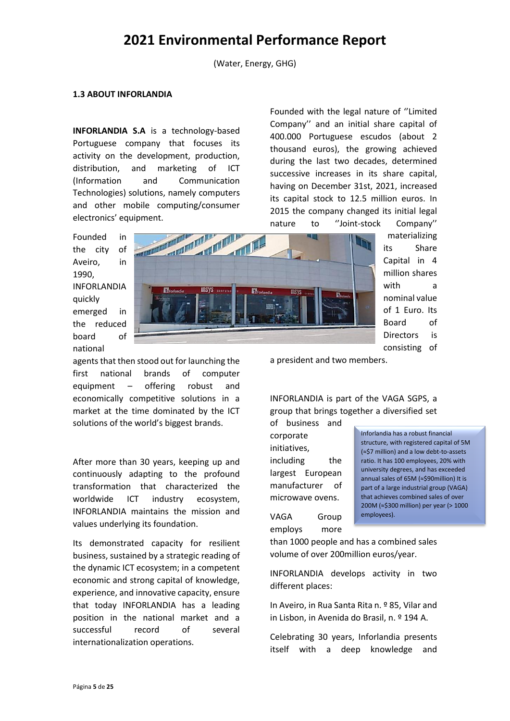(Water, Energy, GHG)

#### <span id="page-4-0"></span>**1.3 ABOUT INFORLANDIA**

**INFORLANDIA S.A** is a technology-based Portuguese company that focuses its activity on the development, production, distribution, and marketing of ICT (Information and Communication Technologies) solutions, namely computers and other mobile computing/consumer electronics' equipment.

Founded in the city of Aveiro, in 1990, INFORLANDIA quickly emerged in the reduced board of national



agents that then stood out for launching the first national brands of computer equipment – offering robust and economically competitive solutions in a market at the time dominated by the ICT solutions of the world's biggest brands.

After more than 30 years, keeping up and continuously adapting to the profound transformation that characterized the worldwide ICT industry ecosystem, INFORLANDIA maintains the mission and values underlying its foundation.

Its demonstrated capacity for resilient business, sustained by a strategic reading of the dynamic ICT ecosystem; in a competent economic and strong capital of knowledge, experience, and innovative capacity, ensure that today INFORLANDIA has a leading position in the national market and a successful record of several internationalization operations.

Founded with the legal nature of ''Limited Company'' and an initial share capital of 400.000 Portuguese escudos (about 2 thousand euros), the growing achieved during the last two decades, determined successive increases in its share capital, having on December 31st, 2021, increased its capital stock to 12.5 million euros. In 2015 the company changed its initial legal nature to ''Joint-stock Company''

> materializing its Share Capital in 4 million shares with a nominal value of 1 Euro. Its Board of Directors is consisting of

a president and two members.

INFORLANDIA is part of the VAGA SGPS, a group that brings together a diversified set

of business and corporate initiatives, including the largest European manufacturer of microwave ovens.

VAGA Group employs more

Inforlandia has a robust financial structure, with registered capital of 5M (≈\$7 million) and a low debt-to-assets ratio. It has 100 employees, 20% with university degrees, and has exceeded annual sales of 65M (≈\$90million) It is part of a large industrial group (VAGA) that achieves combined sales of over 200M (≈\$300 million) per year (> 1000 employees).

than 1000 people and has a combined sales volume of over 200million euros/year.

INFORLANDIA develops activity in two different places:

In Aveiro, in Rua Santa Rita n. º 85, Vilar and in Lisbon, in Avenida do Brasil, n. º 194 A.

Celebrating 30 years, Inforlandia presents itself with a deep knowledge and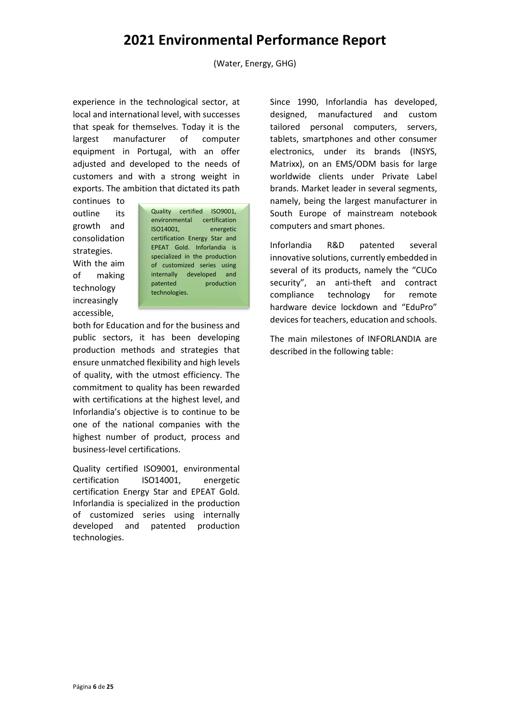(Water, Energy, GHG)

experience in the technological sector, at local and international level, with successes that speak for themselves. Today it is the largest manufacturer of computer equipment in Portugal, with an offer adjusted and developed to the needs of customers and with a strong weight in exports. The ambition that dictated its path

continues to outline its growth and consolidation strategies. With the aim of making technology increasingly accessible,

Quality certified ISO9001, environmental certification ISO14001, energetic certification Energy Star and EPEAT Gold. Inforlandia is specialized in the production of customized series using internally developed and patented production technologies.

both for Education and for the business and public sectors, it has been developing production methods and strategies that ensure unmatched flexibility and high levels of quality, with the utmost efficiency. The commitment to quality has been rewarded with certifications at the highest level, and Inforlandia's objective is to continue to be one of the national companies with the highest number of product, process and business-level certifications.

Quality certified ISO9001, environmental certification ISO14001, energetic certification Energy Star and EPEAT Gold. Inforlandia is specialized in the production of customized series using internally developed and patented production technologies.

Since 1990, Inforlandia has developed, designed, manufactured and custom tailored personal computers, servers, tablets, smartphones and other consumer electronics, under its brands (INSYS, Matrixx), on an EMS/ODM basis for large worldwide clients under Private Label brands. Market leader in several segments, namely, being the largest manufacturer in South Europe of mainstream notebook computers and smart phones.

Inforlandia R&D patented several innovative solutions, currently embedded in several of its products, namely the "CUCo security", an anti-theft and contract compliance technology for remote hardware device lockdown and "EduPro" devices for teachers, education and schools.

The main milestones of INFORLANDIA are described in the following table: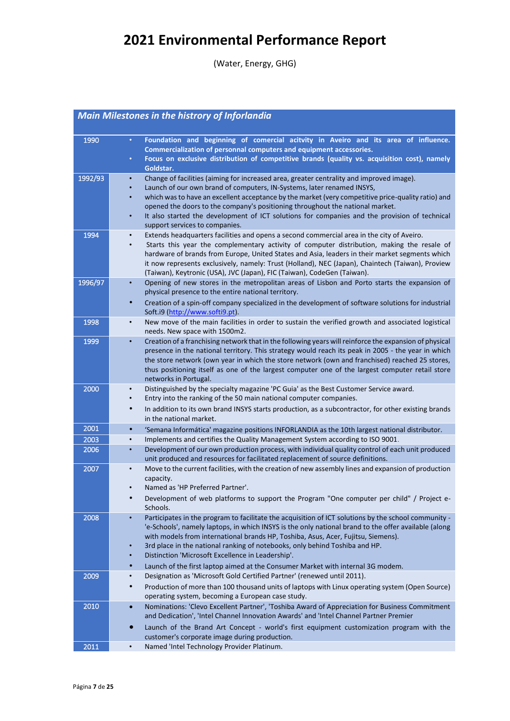(Water, Energy, GHG)

|         |                        | <b>Main Milestones in the histrory of Inforlandia</b>                                                                                                                                                                                                                         |
|---------|------------------------|-------------------------------------------------------------------------------------------------------------------------------------------------------------------------------------------------------------------------------------------------------------------------------|
| 1990    | ٠<br>$\bullet$         | Foundation and beginning of comercial acitvity in Aveiro and its area of influence.<br>Commercialization of personnal computers and equipment accessories.<br>Focus on exclusive distribution of competitive brands (quality vs. acquisition cost), namely                    |
|         |                        | Goldstar.                                                                                                                                                                                                                                                                     |
| 1992/93 | $\bullet$              | Change of facilities (aiming for increased area, greater centrality and improved image).                                                                                                                                                                                      |
|         |                        | Launch of our own brand of computers, IN-Systems, later renamed INSYS,                                                                                                                                                                                                        |
|         | $\bullet$              | which was to have an excellent acceptance by the market (very competitive price-quality ratio) and<br>opened the doors to the company's positioning throughout the national market.                                                                                           |
|         | $\bullet$              | It also started the development of ICT solutions for companies and the provision of technical<br>support services to companies.                                                                                                                                               |
| 1994    | $\bullet$              | Extends headquarters facilities and opens a second commercial area in the city of Aveiro.                                                                                                                                                                                     |
|         | $\bullet$              | Starts this year the complementary activity of computer distribution, making the resale of                                                                                                                                                                                    |
|         |                        | hardware of brands from Europe, United States and Asia, leaders in their market segments which<br>it now represents exclusively, namely: Trust (Holland), NEC (Japan), Chaintech (Taiwan), Proview<br>(Taiwan), Keytronic (USA), JVC (Japan), FIC (Taiwan), CodeGen (Taiwan). |
| 1996/97 | $\bullet$              | Opening of new stores in the metropolitan areas of Lisbon and Porto starts the expansion of                                                                                                                                                                                   |
|         |                        | physical presence to the entire national territory.                                                                                                                                                                                                                           |
|         | $\bullet$              | Creation of a spin-off company specialized in the development of software solutions for industrial<br>Soft.i9 (http://www.softi9.pt).                                                                                                                                         |
| 1998    | $\bullet$              | New move of the main facilities in order to sustain the verified growth and associated logistical<br>needs. New space with 1500m2.                                                                                                                                            |
| 1999    | $\bullet$              | Creation of a franchising network that in the following years will reinforce the expansion of physical                                                                                                                                                                        |
|         |                        | presence in the national territory. This strategy would reach its peak in 2005 - the year in which<br>the store network (own year in which the store network (own and franchised) reached 25 stores,                                                                          |
|         |                        | thus positioning itself as one of the largest computer one of the largest computer retail store                                                                                                                                                                               |
|         |                        | networks in Portugal.                                                                                                                                                                                                                                                         |
| 2000    | $\bullet$<br>$\bullet$ | Distinguished by the specialty magazine 'PC Guia' as the Best Customer Service award.<br>Entry into the ranking of the 50 main national computer companies.                                                                                                                   |
|         | $\bullet$              | In addition to its own brand INSYS starts production, as a subcontractor, for other existing brands<br>in the national market.                                                                                                                                                |
| 2001    | $\bullet$              | 'Semana Informática' magazine positions INFORLANDIA as the 10th largest national distributor.                                                                                                                                                                                 |
| 2003    | $\bullet$              | Implements and certifies the Quality Management System according to ISO 9001.                                                                                                                                                                                                 |
| 2006    | $\bullet$              | Development of our own production process, with individual quality control of each unit produced                                                                                                                                                                              |
|         |                        | unit produced and resources for facilitated replacement of source definitions.                                                                                                                                                                                                |
| 2007    | $\bullet$              | Move to the current facilities, with the creation of new assembly lines and expansion of production<br>capacity.                                                                                                                                                              |
|         |                        | Named as 'HP Preferred Partner'.                                                                                                                                                                                                                                              |
|         |                        | Development of web platforms to support the Program "One computer per child" / Project e-                                                                                                                                                                                     |
|         |                        | Schools.                                                                                                                                                                                                                                                                      |
| 2008    |                        | Participates in the program to facilitate the acquisition of ICT solutions by the school community -                                                                                                                                                                          |
|         |                        | 'e-Schools', namely laptops, in which INSYS is the only national brand to the offer available (along<br>with models from international brands HP, Toshiba, Asus, Acer, Fujitsu, Siemens).                                                                                     |
|         | $\bullet$              | 3rd place in the national ranking of notebooks, only behind Toshiba and HP.                                                                                                                                                                                                   |
|         |                        | Distinction 'Microsoft Excellence in Leadership'.                                                                                                                                                                                                                             |
|         | $\bullet$              | Launch of the first laptop aimed at the Consumer Market with internal 3G modem.                                                                                                                                                                                               |
| 2009    | $\bullet$              | Designation as 'Microsoft Gold Certified Partner' (renewed until 2011).                                                                                                                                                                                                       |
|         | $\bullet$              | Production of more than 100 thousand units of laptops with Linux operating system (Open Source)                                                                                                                                                                               |
|         |                        | operating system, becoming a European case study.                                                                                                                                                                                                                             |
| 2010    | $\bullet$              | Nominations: 'Clevo Excellent Partner', 'Toshiba Award of Appreciation for Business Commitment<br>and Dedication', 'Intel Channel Innovation Awards' and 'Intel Channel Partner Premier                                                                                       |
|         | $\bullet$              |                                                                                                                                                                                                                                                                               |
|         |                        | Launch of the Brand Art Concept - world's first equipment customization program with the<br>customer's corporate image during production.                                                                                                                                     |
| 2011    | $\bullet$              | Named 'Intel Technology Provider Platinum.                                                                                                                                                                                                                                    |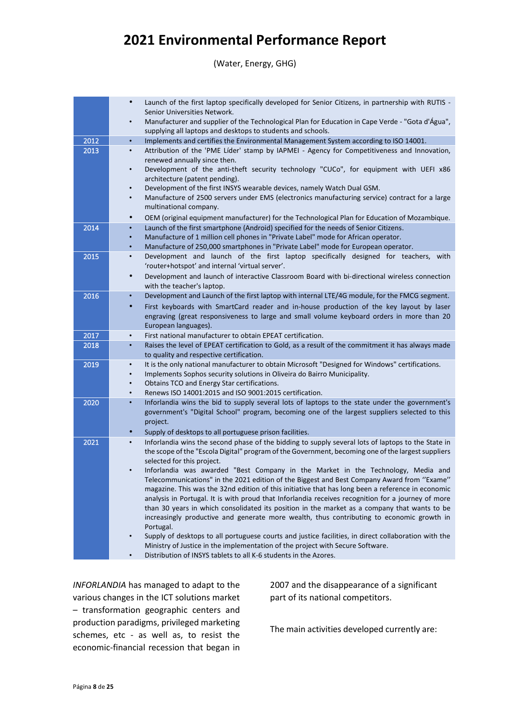(Water, Energy, GHG)

| Senior Universities Network.<br>Manufacturer and supplier of the Technological Plan for Education in Cape Verde - "Gota d'Água",<br>$\bullet$<br>supplying all laptops and desktops to students and schools.<br>2012<br>Implements and certifies the Environmental Management System according to ISO 14001.<br>$\bullet$<br>2013<br>Attribution of the 'PME Líder' stamp by IAPMEI - Agency for Competitiveness and Innovation,<br>$\bullet$<br>renewed annually since then.<br>Development of the anti-theft security technology "CUCo", for equipment with UEFI x86<br>$\bullet$<br>architecture (patent pending).<br>Development of the first INSYS wearable devices, namely Watch Dual GSM.<br>$\bullet$<br>Manufacture of 2500 servers under EMS (electronics manufacturing service) contract for a large<br>$\bullet$<br>multinational company.<br>$\bullet$<br>OEM (original equipment manufacturer) for the Technological Plan for Education of Mozambique.<br>Launch of the first smartphone (Android) specified for the needs of Senior Citizens.<br>2014<br>$\bullet$<br>Manufacture of 1 million cell phones in "Private Label" mode for African operator.<br>$\bullet$<br>Manufacture of 250,000 smartphones in "Private Label" mode for European operator.<br>$\bullet$<br>2015<br>Development and launch of the first laptop specifically designed for teachers, with<br>$\bullet$<br>'router+hotspot' and internal 'virtual server'.<br>$\bullet$<br>Development and launch of interactive Classroom Board with bi-directional wireless connection<br>with the teacher's laptop. |
|---------------------------------------------------------------------------------------------------------------------------------------------------------------------------------------------------------------------------------------------------------------------------------------------------------------------------------------------------------------------------------------------------------------------------------------------------------------------------------------------------------------------------------------------------------------------------------------------------------------------------------------------------------------------------------------------------------------------------------------------------------------------------------------------------------------------------------------------------------------------------------------------------------------------------------------------------------------------------------------------------------------------------------------------------------------------------------------------------------------------------------------------------------------------------------------------------------------------------------------------------------------------------------------------------------------------------------------------------------------------------------------------------------------------------------------------------------------------------------------------------------------------------------------------------------------------------------------------------|
|                                                                                                                                                                                                                                                                                                                                                                                                                                                                                                                                                                                                                                                                                                                                                                                                                                                                                                                                                                                                                                                                                                                                                                                                                                                                                                                                                                                                                                                                                                                                                                                                   |
|                                                                                                                                                                                                                                                                                                                                                                                                                                                                                                                                                                                                                                                                                                                                                                                                                                                                                                                                                                                                                                                                                                                                                                                                                                                                                                                                                                                                                                                                                                                                                                                                   |
|                                                                                                                                                                                                                                                                                                                                                                                                                                                                                                                                                                                                                                                                                                                                                                                                                                                                                                                                                                                                                                                                                                                                                                                                                                                                                                                                                                                                                                                                                                                                                                                                   |
|                                                                                                                                                                                                                                                                                                                                                                                                                                                                                                                                                                                                                                                                                                                                                                                                                                                                                                                                                                                                                                                                                                                                                                                                                                                                                                                                                                                                                                                                                                                                                                                                   |
|                                                                                                                                                                                                                                                                                                                                                                                                                                                                                                                                                                                                                                                                                                                                                                                                                                                                                                                                                                                                                                                                                                                                                                                                                                                                                                                                                                                                                                                                                                                                                                                                   |
|                                                                                                                                                                                                                                                                                                                                                                                                                                                                                                                                                                                                                                                                                                                                                                                                                                                                                                                                                                                                                                                                                                                                                                                                                                                                                                                                                                                                                                                                                                                                                                                                   |
|                                                                                                                                                                                                                                                                                                                                                                                                                                                                                                                                                                                                                                                                                                                                                                                                                                                                                                                                                                                                                                                                                                                                                                                                                                                                                                                                                                                                                                                                                                                                                                                                   |
|                                                                                                                                                                                                                                                                                                                                                                                                                                                                                                                                                                                                                                                                                                                                                                                                                                                                                                                                                                                                                                                                                                                                                                                                                                                                                                                                                                                                                                                                                                                                                                                                   |
|                                                                                                                                                                                                                                                                                                                                                                                                                                                                                                                                                                                                                                                                                                                                                                                                                                                                                                                                                                                                                                                                                                                                                                                                                                                                                                                                                                                                                                                                                                                                                                                                   |
|                                                                                                                                                                                                                                                                                                                                                                                                                                                                                                                                                                                                                                                                                                                                                                                                                                                                                                                                                                                                                                                                                                                                                                                                                                                                                                                                                                                                                                                                                                                                                                                                   |
|                                                                                                                                                                                                                                                                                                                                                                                                                                                                                                                                                                                                                                                                                                                                                                                                                                                                                                                                                                                                                                                                                                                                                                                                                                                                                                                                                                                                                                                                                                                                                                                                   |
|                                                                                                                                                                                                                                                                                                                                                                                                                                                                                                                                                                                                                                                                                                                                                                                                                                                                                                                                                                                                                                                                                                                                                                                                                                                                                                                                                                                                                                                                                                                                                                                                   |
|                                                                                                                                                                                                                                                                                                                                                                                                                                                                                                                                                                                                                                                                                                                                                                                                                                                                                                                                                                                                                                                                                                                                                                                                                                                                                                                                                                                                                                                                                                                                                                                                   |
|                                                                                                                                                                                                                                                                                                                                                                                                                                                                                                                                                                                                                                                                                                                                                                                                                                                                                                                                                                                                                                                                                                                                                                                                                                                                                                                                                                                                                                                                                                                                                                                                   |
|                                                                                                                                                                                                                                                                                                                                                                                                                                                                                                                                                                                                                                                                                                                                                                                                                                                                                                                                                                                                                                                                                                                                                                                                                                                                                                                                                                                                                                                                                                                                                                                                   |
|                                                                                                                                                                                                                                                                                                                                                                                                                                                                                                                                                                                                                                                                                                                                                                                                                                                                                                                                                                                                                                                                                                                                                                                                                                                                                                                                                                                                                                                                                                                                                                                                   |
| 2016<br>Development and Launch of the first laptop with internal LTE/4G module, for the FMCG segment.<br>$\bullet$                                                                                                                                                                                                                                                                                                                                                                                                                                                                                                                                                                                                                                                                                                                                                                                                                                                                                                                                                                                                                                                                                                                                                                                                                                                                                                                                                                                                                                                                                |
| First keyboards with SmartCard reader and in-house production of the key layout by laser<br>$\bullet$                                                                                                                                                                                                                                                                                                                                                                                                                                                                                                                                                                                                                                                                                                                                                                                                                                                                                                                                                                                                                                                                                                                                                                                                                                                                                                                                                                                                                                                                                             |
| engraving (great responsiveness to large and small volume keyboard orders in more than 20                                                                                                                                                                                                                                                                                                                                                                                                                                                                                                                                                                                                                                                                                                                                                                                                                                                                                                                                                                                                                                                                                                                                                                                                                                                                                                                                                                                                                                                                                                         |
| European languages).                                                                                                                                                                                                                                                                                                                                                                                                                                                                                                                                                                                                                                                                                                                                                                                                                                                                                                                                                                                                                                                                                                                                                                                                                                                                                                                                                                                                                                                                                                                                                                              |
| 2017<br>First national manufacturer to obtain EPEAT certification.<br>$\bullet$                                                                                                                                                                                                                                                                                                                                                                                                                                                                                                                                                                                                                                                                                                                                                                                                                                                                                                                                                                                                                                                                                                                                                                                                                                                                                                                                                                                                                                                                                                                   |
| 2018<br>Raises the level of EPEAT certification to Gold, as a result of the commitment it has always made<br>$\bullet$                                                                                                                                                                                                                                                                                                                                                                                                                                                                                                                                                                                                                                                                                                                                                                                                                                                                                                                                                                                                                                                                                                                                                                                                                                                                                                                                                                                                                                                                            |
| to quality and respective certification.<br>2019<br>It is the only national manufacturer to obtain Microsoft "Designed for Windows" certifications.<br>$\bullet$                                                                                                                                                                                                                                                                                                                                                                                                                                                                                                                                                                                                                                                                                                                                                                                                                                                                                                                                                                                                                                                                                                                                                                                                                                                                                                                                                                                                                                  |
| Implements Sophos security solutions in Oliveira do Bairro Municipality.<br>$\bullet$                                                                                                                                                                                                                                                                                                                                                                                                                                                                                                                                                                                                                                                                                                                                                                                                                                                                                                                                                                                                                                                                                                                                                                                                                                                                                                                                                                                                                                                                                                             |
| Obtains TCO and Energy Star certifications.                                                                                                                                                                                                                                                                                                                                                                                                                                                                                                                                                                                                                                                                                                                                                                                                                                                                                                                                                                                                                                                                                                                                                                                                                                                                                                                                                                                                                                                                                                                                                       |
| Renews ISO 14001:2015 and ISO 9001:2015 certification.<br>$\bullet$                                                                                                                                                                                                                                                                                                                                                                                                                                                                                                                                                                                                                                                                                                                                                                                                                                                                                                                                                                                                                                                                                                                                                                                                                                                                                                                                                                                                                                                                                                                               |
| 2020<br>Inforlandia wins the bid to supply several lots of laptops to the state under the government's<br>$\bullet$                                                                                                                                                                                                                                                                                                                                                                                                                                                                                                                                                                                                                                                                                                                                                                                                                                                                                                                                                                                                                                                                                                                                                                                                                                                                                                                                                                                                                                                                               |
| government's "Digital School" program, becoming one of the largest suppliers selected to this                                                                                                                                                                                                                                                                                                                                                                                                                                                                                                                                                                                                                                                                                                                                                                                                                                                                                                                                                                                                                                                                                                                                                                                                                                                                                                                                                                                                                                                                                                     |
| project.                                                                                                                                                                                                                                                                                                                                                                                                                                                                                                                                                                                                                                                                                                                                                                                                                                                                                                                                                                                                                                                                                                                                                                                                                                                                                                                                                                                                                                                                                                                                                                                          |
| Supply of desktops to all portuguese prison facilities.<br>$\bullet$                                                                                                                                                                                                                                                                                                                                                                                                                                                                                                                                                                                                                                                                                                                                                                                                                                                                                                                                                                                                                                                                                                                                                                                                                                                                                                                                                                                                                                                                                                                              |
| 2021<br>Inforlandia wins the second phase of the bidding to supply several lots of laptops to the State in<br>$\bullet$                                                                                                                                                                                                                                                                                                                                                                                                                                                                                                                                                                                                                                                                                                                                                                                                                                                                                                                                                                                                                                                                                                                                                                                                                                                                                                                                                                                                                                                                           |
| the scope of the "Escola Digital" program of the Government, becoming one of the largest suppliers<br>selected for this project.                                                                                                                                                                                                                                                                                                                                                                                                                                                                                                                                                                                                                                                                                                                                                                                                                                                                                                                                                                                                                                                                                                                                                                                                                                                                                                                                                                                                                                                                  |
| Inforlandia was awarded "Best Company in the Market in the Technology, Media and<br>$\bullet$                                                                                                                                                                                                                                                                                                                                                                                                                                                                                                                                                                                                                                                                                                                                                                                                                                                                                                                                                                                                                                                                                                                                                                                                                                                                                                                                                                                                                                                                                                     |
| Telecommunications" in the 2021 edition of the Biggest and Best Company Award from "Exame"                                                                                                                                                                                                                                                                                                                                                                                                                                                                                                                                                                                                                                                                                                                                                                                                                                                                                                                                                                                                                                                                                                                                                                                                                                                                                                                                                                                                                                                                                                        |
| magazine. This was the 32nd edition of this initiative that has long been a reference in economic                                                                                                                                                                                                                                                                                                                                                                                                                                                                                                                                                                                                                                                                                                                                                                                                                                                                                                                                                                                                                                                                                                                                                                                                                                                                                                                                                                                                                                                                                                 |
| analysis in Portugal. It is with proud that Inforlandia receives recognition for a journey of more                                                                                                                                                                                                                                                                                                                                                                                                                                                                                                                                                                                                                                                                                                                                                                                                                                                                                                                                                                                                                                                                                                                                                                                                                                                                                                                                                                                                                                                                                                |
| than 30 years in which consolidated its position in the market as a company that wants to be                                                                                                                                                                                                                                                                                                                                                                                                                                                                                                                                                                                                                                                                                                                                                                                                                                                                                                                                                                                                                                                                                                                                                                                                                                                                                                                                                                                                                                                                                                      |
| increasingly productive and generate more wealth, thus contributing to economic growth in                                                                                                                                                                                                                                                                                                                                                                                                                                                                                                                                                                                                                                                                                                                                                                                                                                                                                                                                                                                                                                                                                                                                                                                                                                                                                                                                                                                                                                                                                                         |
| Portugal.                                                                                                                                                                                                                                                                                                                                                                                                                                                                                                                                                                                                                                                                                                                                                                                                                                                                                                                                                                                                                                                                                                                                                                                                                                                                                                                                                                                                                                                                                                                                                                                         |
| Supply of desktops to all portuguese courts and justice facilities, in direct collaboration with the<br>$\bullet$<br>Ministry of Justice in the implementation of the project with Secure Software.                                                                                                                                                                                                                                                                                                                                                                                                                                                                                                                                                                                                                                                                                                                                                                                                                                                                                                                                                                                                                                                                                                                                                                                                                                                                                                                                                                                               |
| Distribution of INSYS tablets to all K-6 students in the Azores.                                                                                                                                                                                                                                                                                                                                                                                                                                                                                                                                                                                                                                                                                                                                                                                                                                                                                                                                                                                                                                                                                                                                                                                                                                                                                                                                                                                                                                                                                                                                  |

*INFORLANDIA* has managed to adapt to the various changes in the ICT solutions market – transformation geographic centers and production paradigms, privileged marketing schemes, etc - as well as, to resist the economic-financial recession that began in 2007 and the disappearance of a significant part of its national competitors.

The main activities developed currently are: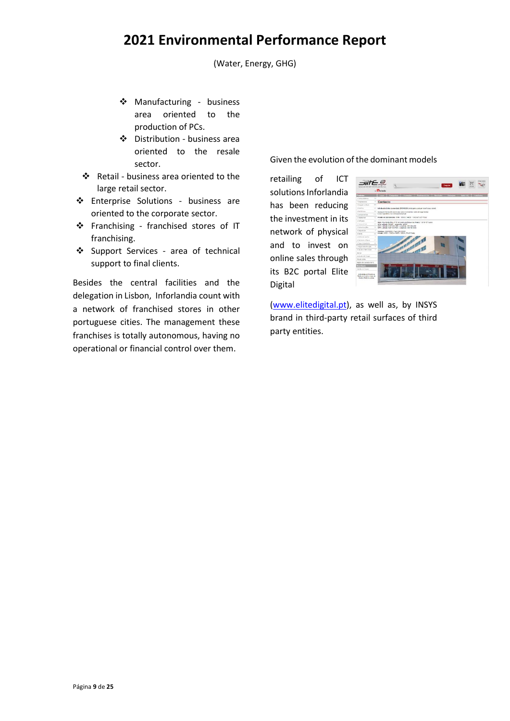(Water, Energy, GHG)

- ❖ Manufacturing business area oriented to the production of PCs.
- ❖ Distribution business area oriented to the resale sector.
- ❖ Retail business area oriented to the large retail sector.
- ❖ Enterprise Solutions business are oriented to the corporate sector.
- ❖ Franchising franchised stores of IT franchising.
- ❖ Support Services area of technical support to final clients.

Besides the central facilities and the delegation in Lisbon, Inforlandia count with a network of franchised stores in other portuguese cities. The management these franchises is totally autonomous, having no operational or financial control over them.

Given the evolution of the dominant models

retailing of ICT solutions Inforlandia has been reducing the investment in its network of physical and to invest on online sales through its B2C portal Elite Digital



[\(www.elitedigital.pt\)](http://www.elitedigital.pt/), as well as, by INSYS brand in third-party retail surfaces of third party entities.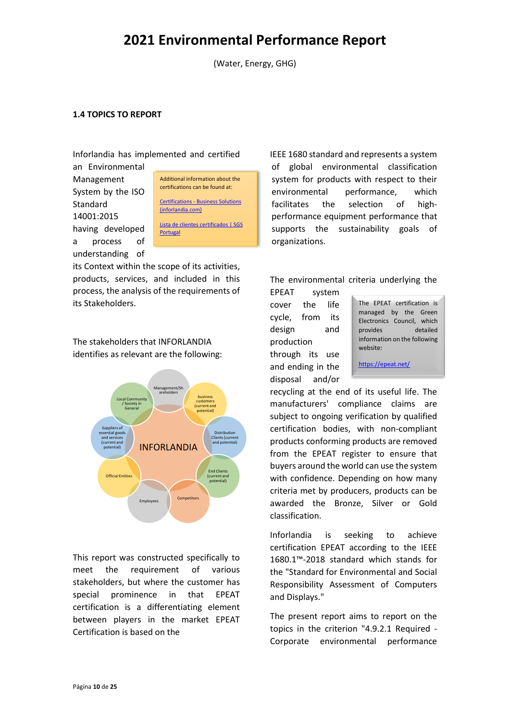(Water, Energy, GHG)

#### <span id="page-9-0"></span>**1.4 TOPICS TO REPORT**

Inforlandia has implemented and certified an Environmental

Management System by the ISO **Standard** 14001:2015 having developed a process of understanding of



its Context within the scope of its activities, products, services, and included in this process, the analysis of the requirements of its Stakeholders.

The stakeholders that INFORLANDIA identifies as relevant are the following:



This report was constructed specifically to meet the requirement of various stakeholders, but where the customer has special prominence in that EPEAT certification is a differentiating element between players in the market EPEAT Certification is based on the

IEEE 1680 standard and represents a system of global environmental classification system for products with respect to their environmental performance, which facilitates the selection of highperformance equipment performance that supports the sustainability goals of organizations.

#### The environmental criteria underlying the

EPEAT system cover the life cycle, from its design and production through its use and ending in the disposal and/or

The EPEAT certification is managed by the Green Electronics Council, which provides detailed information on the following website:

<https://epeat.net/>

recycling at the end of its useful life. The manufacturers' compliance claims are subject to ongoing verification by qualified certification bodies, with non-compliant products conforming products are removed from the EPEAT register to ensure that buyers around the world can use the system with confidence. Depending on how many criteria met by producers, products can be awarded the Bronze, Silver or Gold classification.

Inforlandia is seeking to achieve certification EPEAT according to the IEEE 1680.1™-2018 standard which stands for the "Standard for Environmental and Social Responsibility Assessment of Computers and Displays."

The present report aims to report on the topics in the criterion "4.9.2.1 Required - Corporate environmental performance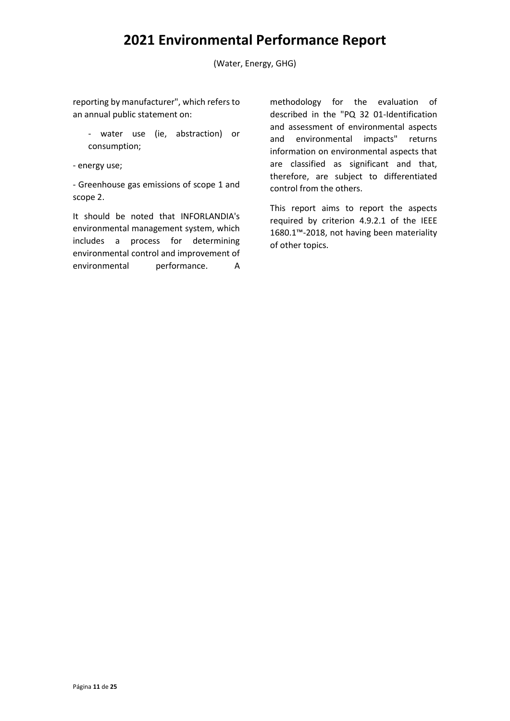(Water, Energy, GHG)

reporting by manufacturer", which refers to an annual public statement on:

- water use (ie, abstraction) or consumption;

- energy use;

- Greenhouse gas emissions of scope 1 and scope 2.

It should be noted that INFORLANDIA's environmental management system, which includes a process for determining environmental control and improvement of environmental performance. A

methodology for the evaluation of described in the "PQ 32 01-Identification and assessment of environmental aspects and environmental impacts" returns information on environmental aspects that are classified as significant and that, therefore, are subject to differentiated control from the others.

This report aims to report the aspects required by criterion 4.9.2.1 of the IEEE 1680.1™-2018, not having been materiality of other topics.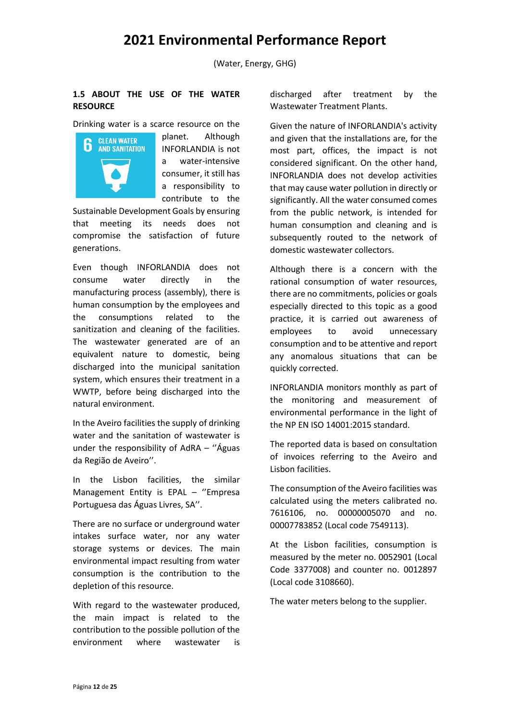#### <span id="page-11-0"></span>**1.5 ABOUT THE USE OF THE WATER RESOURCE**

Drinking water is a scarce resource on the



planet. Although INFORLANDIA is not a water-intensive consumer, it still has a responsibility to contribute to the

Sustainable Development Goals by ensuring that meeting its needs does not compromise the satisfaction of future generations.

Even though INFORLANDIA does not consume water directly in the manufacturing process (assembly), there is human consumption by the employees and the consumptions related to the sanitization and cleaning of the facilities. The wastewater generated are of an equivalent nature to domestic, being discharged into the municipal sanitation system, which ensures their treatment in a WWTP, before being discharged into the natural environment.

In the Aveiro facilities the supply of drinking water and the sanitation of wastewater is under the responsibility of  $AdRA - "Águas"$ da Região de Aveiro''.

In the Lisbon facilities, the similar Management Entity is EPAL – ''Empresa Portuguesa das Águas Livres, SA''.

There are no surface or underground water intakes surface water, nor any water storage systems or devices. The main environmental impact resulting from water consumption is the contribution to the depletion of this resource.

With regard to the wastewater produced, the main impact is related to the contribution to the possible pollution of the environment where wastewater is

discharged after treatment by the Wastewater Treatment Plants.

Given the nature of INFORLANDIA's activity and given that the installations are, for the most part, offices, the impact is not considered significant. On the other hand, INFORLANDIA does not develop activities that may cause water pollution in directly or significantly. All the water consumed comes from the public network, is intended for human consumption and cleaning and is subsequently routed to the network of domestic wastewater collectors.

Although there is a concern with the rational consumption of water resources, there are no commitments, policies or goals especially directed to this topic as a good practice, it is carried out awareness of employees to avoid unnecessary consumption and to be attentive and report any anomalous situations that can be quickly corrected.

INFORLANDIA monitors monthly as part of the monitoring and measurement of environmental performance in the light of the NP EN ISO 14001:2015 standard.

The reported data is based on consultation of invoices referring to the Aveiro and Lisbon facilities.

The consumption of the Aveiro facilities was calculated using the meters calibrated no. 7616106, no. 00000005070 and no. 00007783852 (Local code 7549113).

At the Lisbon facilities, consumption is measured by the meter no. 0052901 (Local Code 3377008) and counter no. 0012897 (Local code 3108660).

The water meters belong to the supplier.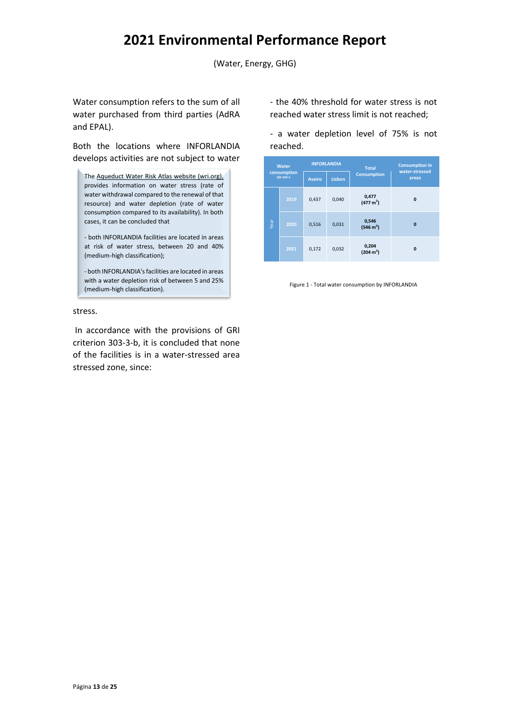Water consumption refers to the sum of all water purchased from third parties (AdRA and EPAL).

Both the locations where INFORLANDIA develops activities are not subject to water

The Aqueduct Water Risk Atlas website (wri.org), provides information on water stress (rate of water withdrawal compared to the renewal of that resource) and water depletion (rate of water consumption compared to its availability). In both cases, it can be concluded that

- both INFORLANDIA facilities are located in areas at risk of water stress, between 20 and 40% (medium-high classification);

- both INFORLANDIA's facilities are located in areas with a water depletion risk of between 5 and 25% (medium-high classification).

stress.

In accordance with the provisions of GRI criterion 303-3-b, it is concluded that none of the facilities is in a water-stressed area stressed zone, since:

- the 40% threshold for water stress is not reached water stress limit is not reached;

- a water depletion level of 75% is not reached.

| <b>Water</b> |                                                                           | <b>INFORLANDIA</b> |       | <b>Total</b>                 | <b>Consumption in</b><br>water-stressed |  |
|--------------|---------------------------------------------------------------------------|--------------------|-------|------------------------------|-----------------------------------------|--|
|              | consumption<br><b>Consumption</b><br>GRI 303-5<br>Lisbon<br><b>Aveiro</b> |                    | areas |                              |                                         |  |
|              | 2019                                                                      | 0,437              | 0,040 | 0,477<br>$(477 \text{ m}^3)$ | $\mathbf{0}$                            |  |
| Year         | 2020                                                                      | 0,516              | 0,031 | 0,546<br>$(546 \text{ m}^3)$ | $\bf{0}$                                |  |
|              | 2021                                                                      | 0,172              | 0,032 | 0,204<br>$(204 \text{ m}^3)$ | 0                                       |  |

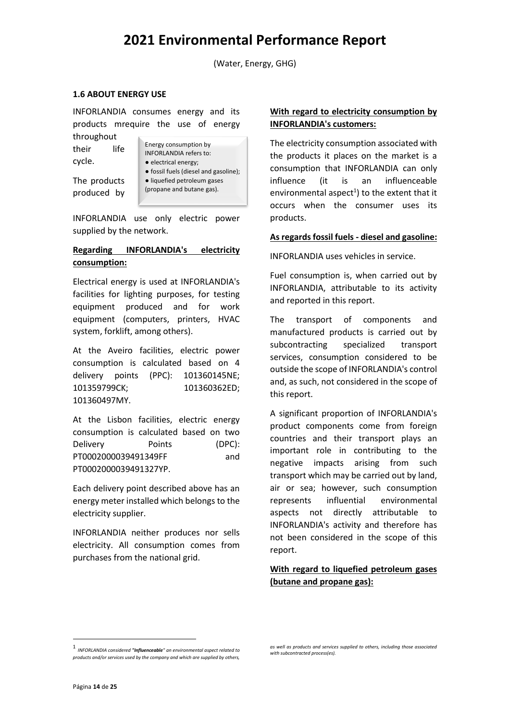#### <span id="page-13-0"></span>**1.6 ABOUT ENERGY USE**

INFORLANDIA consumes energy and its products mrequire the use of energy throughout

their life cycle.

Energy consumption by INFORLANDIA refers to: ● electrical energy; ● fossil fuels (diesel and gasoline); ● liquefied petroleum gases

(propane and butane gas).

The products produced by

INFORLANDIA use only electric power supplied by the network.

#### **Regarding INFORLANDIA's electricity consumption:**

Electrical energy is used at INFORLANDIA's facilities for lighting purposes, for testing equipment produced and for work equipment (computers, printers, HVAC system, forklift, among others).

At the Aveiro facilities, electric power consumption is calculated based on 4 delivery points (PPC): 101360145NE; 101359799CK; 101360362ED; 101360497MY.

At the Lisbon facilities, electric energy consumption is calculated based on two Delivery Points (DPC): PT0002000039491349FF and PT0002000039491327YP.

Each delivery point described above has an energy meter installed which belongs to the electricity supplier.

INFORLANDIA neither produces nor sells electricity. All consumption comes from purchases from the national grid.

#### **With regard to electricity consumption by INFORLANDIA's customers:**

The electricity consumption associated with the products it places on the market is a consumption that INFORLANDIA can only influence (it is an influenceable environmental aspect 1 ) to the extent that it occurs when the consumer uses its products.

#### **As regards fossil fuels - diesel and gasoline:**

INFORLANDIA uses vehicles in service.

Fuel consumption is, when carried out by INFORLANDIA, attributable to its activity and reported in this report.

The transport of components and manufactured products is carried out by subcontracting specialized transport services, consumption considered to be outside the scope of INFORLANDIA's control and, as such, not considered in the scope of this report.

A significant proportion of INFORLANDIA's product components come from foreign countries and their transport plays an important role in contributing to the negative impacts arising from such transport which may be carried out by land, air or sea; however, such consumption represents influential environmental aspects not directly attributable to INFORLANDIA's activity and therefore has not been considered in the scope of this report.

#### **With regard to liquefied petroleum gases (butane and propane gas):**

<sup>1</sup> *INFORLANDIA considered "Influenceable" an environmental aspect related to products and/or services used by the company and which are supplied by others,* 

*as well as products and services supplied to others, including those associated with subcontracted process(es).*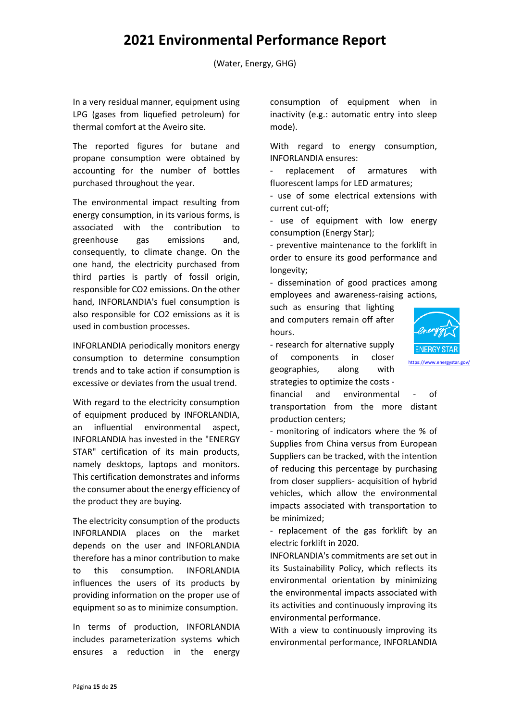(Water, Energy, GHG)

In a very residual manner, equipment using LPG (gases from liquefied petroleum) for thermal comfort at the Aveiro site.

The reported figures for butane and propane consumption were obtained by accounting for the number of bottles purchased throughout the year.

The environmental impact resulting from energy consumption, in its various forms, is associated with the contribution to greenhouse gas emissions and, consequently, to climate change. On the one hand, the electricity purchased from third parties is partly of fossil origin, responsible for CO2 emissions. On the other hand, INFORLANDIA's fuel consumption is also responsible for CO2 emissions as it is used in combustion processes.

INFORLANDIA periodically monitors energy consumption to determine consumption trends and to take action if consumption is excessive or deviates from the usual trend.

With regard to the electricity consumption of equipment produced by INFORLANDIA, an influential environmental aspect, INFORLANDIA has invested in the "ENERGY STAR" certification of its main products, namely desktops, laptops and monitors. This certification demonstrates and informs the consumer about the energy efficiency of the product they are buying.

The electricity consumption of the products INFORLANDIA places on the market depends on the user and INFORLANDIA therefore has a minor contribution to make to this consumption. INFORLANDIA influences the users of its products by providing information on the proper use of equipment so as to minimize consumption.

In terms of production, INFORLANDIA includes parameterization systems which ensures a reduction in the energy

consumption of equipment when in inactivity (e.g.: automatic entry into sleep mode).

With regard to energy consumption, INFORLANDIA ensures:

- replacement of armatures with fluorescent lamps for LED armatures;

- use of some electrical extensions with current cut-off;

- use of equipment with low energy consumption (Energy Star);

- preventive maintenance to the forklift in order to ensure its good performance and longevity;

- dissemination of good practices among employees and awareness-raising actions,

such as ensuring that lighting and computers remain off after hours.

- research for alternative supply of components in closer geographies, along with strategies to optimize the costs -



.energystar.gov/

financial and environmental - of transportation from the more distant production centers;

- monitoring of indicators where the % of Supplies from China versus from European Suppliers can be tracked, with the intention of reducing this percentage by purchasing from closer suppliers- acquisition of hybrid vehicles, which allow the environmental impacts associated with transportation to be minimized;

- replacement of the gas forklift by an electric forklift in 2020.

INFORLANDIA's commitments are set out in its Sustainability Policy, which reflects its environmental orientation by minimizing the environmental impacts associated with its activities and continuously improving its environmental performance.

With a view to continuously improving its environmental performance, INFORLANDIA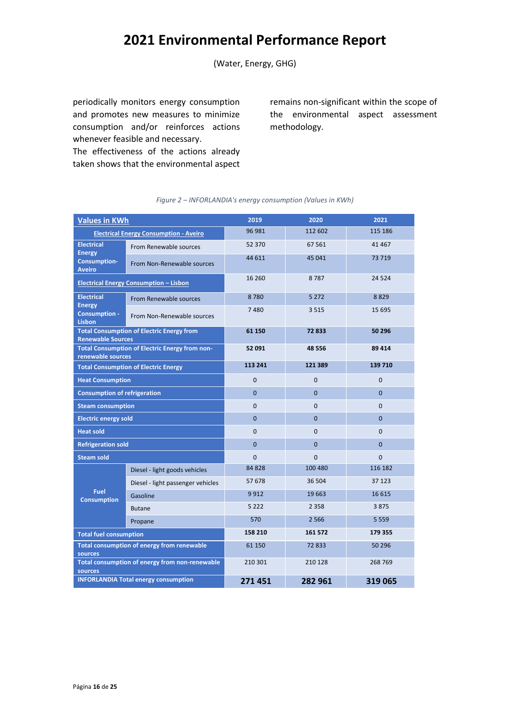periodically monitors energy consumption and promotes new measures to minimize consumption and/or reinforces actions whenever feasible and necessary.

The effectiveness of the actions already taken shows that the environmental aspect

remains non-significant within the scope of the environmental aspect assessment methodology.

| <b>Values in KWh</b>                                                |                                                  | 2019           | 2020           | 2021         |
|---------------------------------------------------------------------|--------------------------------------------------|----------------|----------------|--------------|
| <b>Electrical Energy Consumption - Aveiro</b>                       |                                                  | 96 981         | 112 602        | 115 186      |
| <b>Electrical</b>                                                   | From Renewable sources                           | 52 370         | 67 5 61        | 41 4 67      |
| <b>Energy</b><br>Consumption-<br><b>Aveiro</b>                      | From Non-Renewable sources                       | 44 611         | 45 041         | 73719        |
|                                                                     | <b>Electrical Energy Consumption - Lisbon</b>    | 16 260         | 8787           | 24 5 24      |
| <b>Electrical</b>                                                   | From Renewable sources                           | 8780           | 5 2 7 2        | 8829         |
| <b>Energy</b><br>Consumption -<br><b>Lisbon</b>                     | From Non-Renewable sources                       | 7480           | 3515           | 15 695       |
| <b>Renewable Sources</b>                                            | <b>Total Consumption of Electric Energy from</b> | 61 150         | 72833          | 50 296       |
| Total Consumption of Electric Energy from non-<br>renewable sources |                                                  | 52 091         | 48 5 5 6       | 89 4 14      |
| <b>Total Consumption of Electric Energy</b>                         |                                                  | 113 241        | 121 389        | 139 710      |
| <b>Heat Consumption</b>                                             |                                                  | $\Omega$       | $\Omega$       | $\Omega$     |
| <b>Consumption of refrigeration</b>                                 |                                                  | $\Omega$       | $\overline{0}$ | $\Omega$     |
| <b>Steam consumption</b>                                            |                                                  | $\mathbf 0$    | $\mathbf{0}$   | $\mathbf{0}$ |
| <b>Electric energy sold</b>                                         |                                                  | $\Omega$       | $\Omega$       | $\Omega$     |
| <b>Heat sold</b>                                                    |                                                  | $\Omega$       | $\Omega$       | $\mathbf{0}$ |
| <b>Refrigeration sold</b>                                           |                                                  | $\overline{0}$ | $\overline{0}$ | $\mathbf{0}$ |
| <b>Steam sold</b>                                                   |                                                  | $\Omega$       | $\Omega$       | $\Omega$     |
|                                                                     | Diesel - light goods vehicles                    | 84 828         | 100 480        | 116 182      |
|                                                                     | Diesel - light passenger vehicles                | 57 678         | 36 504         | 37 123       |
| <b>Fuel</b><br><b>Consumption</b>                                   | Gasoline                                         | 9912           | 19 6 63        | 16 6 15      |
|                                                                     | <b>Butane</b>                                    | 5 2 2 2        | 2 3 5 8        | 3875         |
|                                                                     | Propane                                          | 570            | 2566           | 5 5 5 9      |
| <b>Total fuel consumption</b>                                       |                                                  | 158 210        | 161 572        | 179 355      |
| sources                                                             | Total consumption of energy from renewable       | 61 150         | 72833          | 50 296       |
| Total consumption of energy from non-renewable<br>sources           |                                                  | 210 301        | 210 128        | 268 769      |
| <b>INFORLANDIA Total energy consumption</b>                         |                                                  | 271451         | 282 961        | 319 065      |

#### *Figure 2 – INFORLANDIA's energy consumption (Values in KWh)*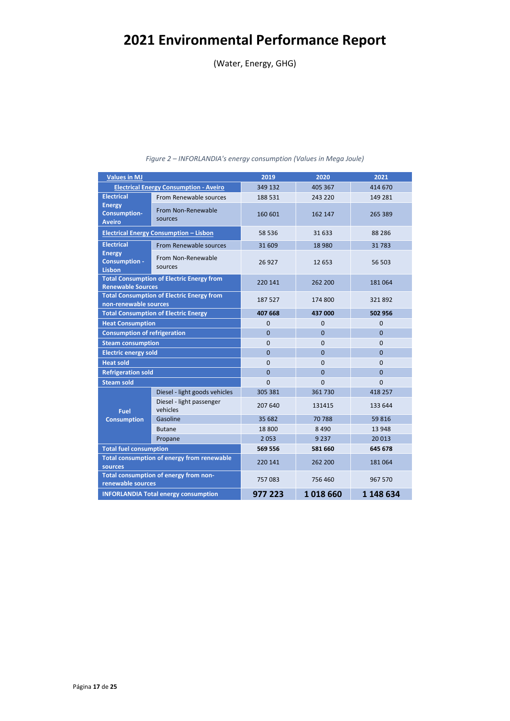(Water, Energy, GHG)

| <b>Values in MJ</b>                                                                    |                                               | 2019               | 2020           | 2021           |
|----------------------------------------------------------------------------------------|-----------------------------------------------|--------------------|----------------|----------------|
|                                                                                        | <b>Electrical Energy Consumption - Aveiro</b> | 349 132            | 405 367        | 414 670        |
| <b>Electrical</b>                                                                      | From Renewable sources                        | 188 531            | 243 220        | 149 281        |
| <b>Energy</b><br>From Non-Renewable<br><b>Consumption-</b><br>sources<br><b>Aveiro</b> |                                               | 160 601<br>162 147 |                | 265 389        |
| <b>Electrical Energy Consumption - Lisbon</b>                                          |                                               | 58 536             | 31 633         | 88 2 86        |
| <b>Electrical</b>                                                                      | From Renewable sources                        | 31 609             | 18 9 80        | 31783          |
| <b>Energy</b><br>From Non-Renewable<br>Consumption -<br>sources<br><b>Lisbon</b>       |                                               | 26 927             | 12 653         |                |
| <b>Total Consumption of Electric Energy from</b><br><b>Renewable Sources</b>           |                                               | 220 141            | 262 200        | 181064         |
| <b>Total Consumption of Electric Energy from</b><br>non-renewable sources              |                                               | 187 527            | 174 800        | 321892         |
|                                                                                        | <b>Total Consumption of Electric Energy</b>   | 407 668            | 437 000        | 502 956        |
| <b>Heat Consumption</b>                                                                |                                               | $\mathbf{0}$       | $\overline{0}$ | $\mathbf{0}$   |
| <b>Consumption of refrigeration</b>                                                    |                                               | $\overline{0}$     | $\overline{0}$ | $\overline{0}$ |
| <b>Steam consumption</b>                                                               |                                               | $\mathbf{0}$       | 0              | $\mathbf 0$    |
| <b>Electric energy sold</b>                                                            |                                               | $\overline{0}$     | $\Omega$       | $\Omega$       |
| <b>Heat sold</b>                                                                       |                                               | $\mathbf 0$        | $\Omega$       | $\Omega$       |
| <b>Refrigeration sold</b>                                                              |                                               | $\overline{0}$     | $\overline{0}$ | $\overline{0}$ |
| <b>Steam sold</b>                                                                      |                                               | 0                  | $\mathbf 0$    | 0              |
|                                                                                        | Diesel - light goods vehicles                 | 305 381            | 361 730        | 418 257        |
| Fuel                                                                                   | Diesel - light passenger<br>vehicles          | 207 640<br>131415  |                | 133 644        |
| <b>Consumption</b>                                                                     | Gasoline                                      | 35 682             | 70 788         | 59816          |
|                                                                                        | <b>Butane</b>                                 | 18 800             | 8 4 9 0        | 13 948         |
|                                                                                        | Propane                                       | 2053               | 9 2 3 7        | 20 013         |
| <b>Total fuel consumption</b>                                                          |                                               | 569 556            | 581 660        | 645 678        |
| sources                                                                                | Total consumption of energy from renewable    | 220 141            | 262 200        | 181064         |
| Total consumption of energy from non-<br>renewable sources                             |                                               | 757083             | 756 460        | 967 570        |
| <b>INFORLANDIA Total energy consumption</b>                                            |                                               | 977 223            | 1018660        | 1 148 634      |

#### *Figure 2 – INFORLANDIA's energy consumption (Values in Mega Joule)*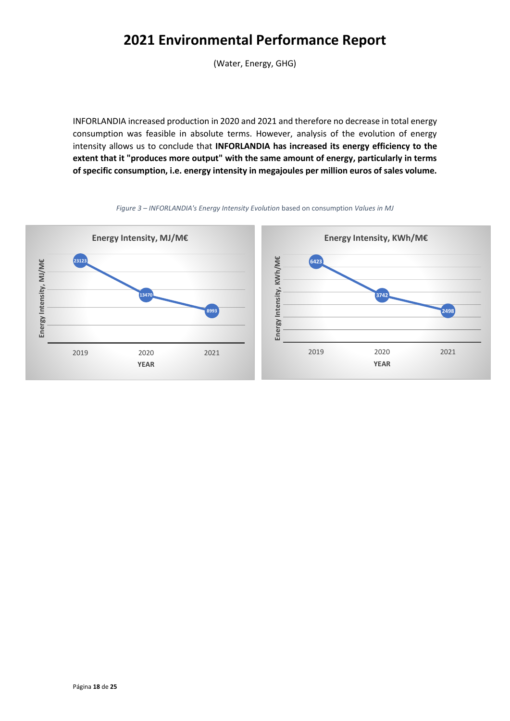(Water, Energy, GHG)

INFORLANDIA increased production in 2020 and 2021 and therefore no decrease in total energy consumption was feasible in absolute terms. However, analysis of the evolution of energy intensity allows us to conclude that **INFORLANDIA has increased its energy efficiency to the extent that it "produces more output" with the same amount of energy, particularly in terms of specific consumption, i.e. energy intensity in megajoules per million euros of sales volume.**



*Figure 3 – INFORLANDIA's Energy Intensity Evolution* based on consumption *Values in MJ*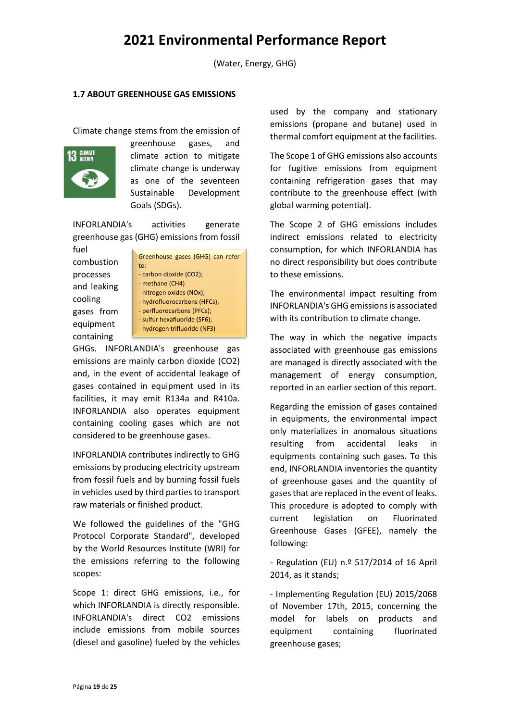(Water, Energy, GHG)

#### <span id="page-18-0"></span>**1.7 ABOUT GREENHOUSE GAS EMISSIONS**

Climate change stems from the emission of



greenhouse gases, and climate action to mitigate climate change is underway as one of the seventeen Sustainable Development Goals (SDGs).

INFORLANDIA's activities generate greenhouse gas (GHG) emissions from fossil fuel

combustion processes and leaking cooling gases from equipment containing

| Greenhouse gases (GHG) can refer |
|----------------------------------|
| to:                              |
| - carbon dioxide (CO2);          |
| - methane (CH4)                  |
| - nitrogen oxides (NOx);         |
| - hydrofluorocarbons (HFCs);     |
| - perfluorocarbons (PFCs);       |
| - sulfur hexafluoride (SF6);     |
| - hydrogen trifluoride (NF3)     |

GHGs. INFORLANDIA's greenhouse gas emissions are mainly carbon dioxide (CO2) and, in the event of accidental leakage of gases contained in equipment used in its facilities, it may emit R134a and R410a. INFORLANDIA also operates equipment containing cooling gases which are not considered to be greenhouse gases.

INFORLANDIA contributes indirectly to GHG emissions by producing electricity upstream from fossil fuels and by burning fossil fuels in vehicles used by third parties to transport raw materials or finished product.

We followed the guidelines of the "GHG Protocol Corporate Standard", developed by the World Resources Institute (WRI) for the emissions referring to the following scopes:

Scope 1: direct GHG emissions, i.e., for which INFORLANDIA is directly responsible. INFORLANDIA's direct CO2 emissions include emissions from mobile sources (diesel and gasoline) fueled by the vehicles

used by the company and stationary emissions (propane and butane) used in thermal comfort equipment at the facilities.

The Scope 1 of GHG emissions also accounts for fugitive emissions from equipment containing refrigeration gases that may contribute to the greenhouse effect (with global warming potential).

The Scope 2 of GHG emissions includes indirect emissions related to electricity consumption, for which INFORLANDIA has no direct responsibility but does contribute to these emissions.

The environmental impact resulting from INFORLANDIA's GHG emissions is associated with its contribution to climate change.

The way in which the negative impacts associated with greenhouse gas emissions are managed is directly associated with the management of energy consumption, reported in an earlier section of this report.

Regarding the emission of gases contained in equipments, the environmental impact only materializes in anomalous situations resulting from accidental leaks in equipments containing such gases. To this end, INFORLANDIA inventories the quantity of greenhouse gases and the quantity of gases that are replaced in the event of leaks. This procedure is adopted to comply with current legislation on Fluorinated Greenhouse Gases (GFEE), namely the following:

- Regulation (EU) n.º 517/2014 of 16 April 2014, as it stands;

- Implementing Regulation (EU) 2015/2068 of November 17th, 2015, concerning the model for labels on products and equipment containing fluorinated greenhouse gases;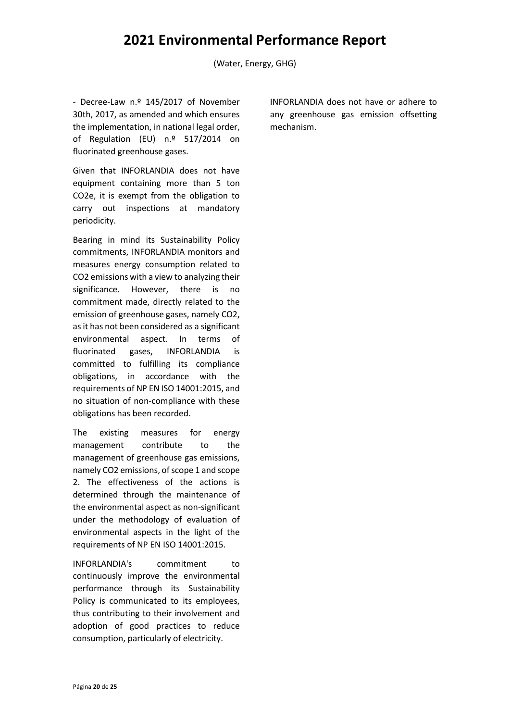(Water, Energy, GHG)

- Decree-Law n.º 145/2017 of November 30th, 2017, as amended and which ensures the implementation, in national legal order, of Regulation (EU) n.º 517/2014 on fluorinated greenhouse gases.

Given that INFORLANDIA does not have equipment containing more than 5 ton CO2e, it is exempt from the obligation to carry out inspections at mandatory periodicity.

Bearing in mind its Sustainability Policy commitments, INFORLANDIA monitors and measures energy consumption related to CO2 emissions with a view to analyzing their significance. However, there is no commitment made, directly related to the emission of greenhouse gases, namely CO2, as it has not been considered as a significant environmental aspect. In terms of fluorinated gases, INFORLANDIA is committed to fulfilling its compliance obligations, in accordance with the requirements of NP EN ISO 14001:2015, and no situation of non-compliance with these obligations has been recorded.

The existing measures for energy management contribute to the management of greenhouse gas emissions, namely CO2 emissions, of scope 1 and scope 2. The effectiveness of the actions is determined through the maintenance of the environmental aspect as non-significant under the methodology of evaluation of environmental aspects in the light of the requirements of NP EN ISO 14001:2015.

INFORLANDIA's commitment to continuously improve the environmental performance through its Sustainability Policy is communicated to its employees, thus contributing to their involvement and adoption of good practices to reduce consumption, particularly of electricity.

INFORLANDIA does not have or adhere to any greenhouse gas emission offsetting mechanism.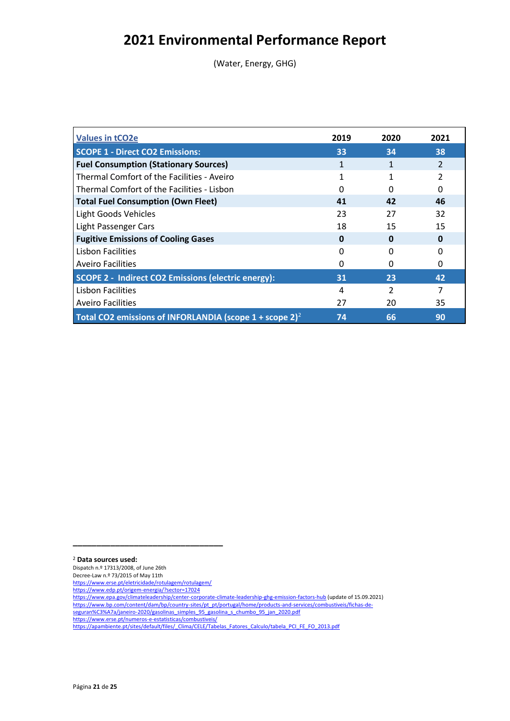(Water, Energy, GHG)

| <b>Values in tCO2e</b>                                       | 2019     | 2020          | 2021         |
|--------------------------------------------------------------|----------|---------------|--------------|
| <b>SCOPE 1 - Direct CO2 Emissions:</b>                       | 33       | 34            | 38           |
| <b>Fuel Consumption (Stationary Sources)</b>                 |          |               |              |
| Thermal Comfort of the Facilities - Aveiro                   |          |               | 2            |
| Thermal Comfort of the Facilities - Lisbon                   |          |               | O            |
| <b>Total Fuel Consumption (Own Fleet)</b>                    | 41       | 42            | 46           |
| <b>Light Goods Vehicles</b>                                  | 23       | 27            | 32           |
| Light Passenger Cars                                         | 18       | 15            | 15           |
| <b>Fugitive Emissions of Cooling Gases</b>                   | $\bf{0}$ | $\bf{0}$      | <sup>0</sup> |
| Lisbon Facilities                                            | O        | ŋ             | ი            |
| <b>Aveiro Facilities</b>                                     |          | O             | O            |
| <b>SCOPE 2 - Indirect CO2 Emissions (electric energy):</b>   | 31       | 23            | 42           |
| Lisbon Facilities                                            | 4        | $\mathfrak z$ |              |
| <b>Aveiro Facilities</b>                                     | 27       | 20            | 35           |
| Total CO2 emissions of INFORLANDIA (scope $1 +$ scope $2)^2$ | 74       | 66            | 90           |

<sup>2</sup> **Data sources used:**

Dispatch n.º 17313/2008, of June 26th

Decree-Law n.º 73/2015 of May 11th

<https://www.erse.pt/eletricidade/rotulagem/rotulagem/>

**\_\_\_\_\_\_\_\_\_\_\_\_\_\_\_\_\_\_\_\_\_\_\_\_\_\_\_\_\_\_\_\_**

[seguran%C3%A7a/janeiro-2020/gasolinas\\_simples\\_95\\_gasolina\\_s\\_chumbo\\_95\\_jan\\_2020.pdf](https://www.bp.com/content/dam/bp/country-sites/pt_pt/portugal/home/products-and-services/combustiveis/fichas-de-seguran%C3%A7a/janeiro-2020/gasolinas_simples_95_gasolina_s_chumbo_95_jan_2020.pdf)

<https://www.erse.pt/numeros-e-estatisticas/combustiveis/>

<https://www.edp.pt/origem-energia/?sector=17024> <https://www.epa.gov/climateleadership/center-corporate-climate-leadership-ghg-emission-factors-hub> (update of 15.09.2021) [https://www.bp.com/content/dam/bp/country-sites/pt\\_pt/portugal/home/products-and-services/combustiveis/fichas-de-](https://www.bp.com/content/dam/bp/country-sites/pt_pt/portugal/home/products-and-services/combustiveis/fichas-de-seguran%C3%A7a/janeiro-2020/gasolinas_simples_95_gasolina_s_chumbo_95_jan_2020.pdf)

[https://apambiente.pt/sites/default/files/\\_Clima/CELE/Tabelas\\_Fatores\\_Calculo/tabela\\_PCI\\_FE\\_FO\\_2013.pdf](https://apambiente.pt/sites/default/files/_Clima/CELE/Tabelas_Fatores_Calculo/tabela_PCI_FE_FO_2013.pdf)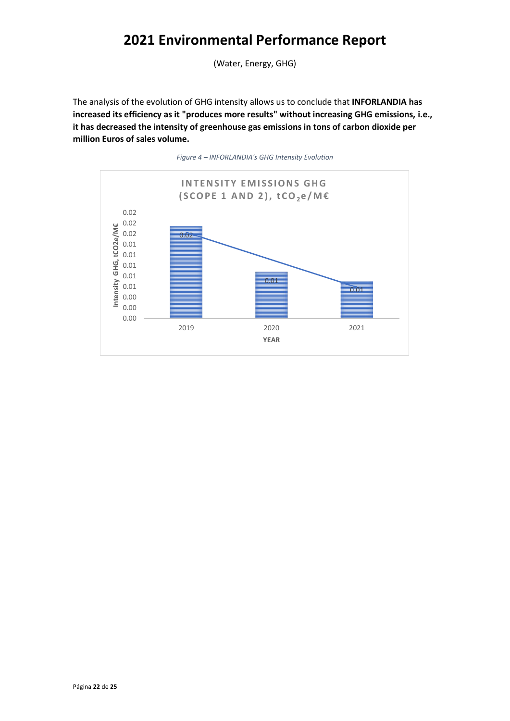(Water, Energy, GHG)

The analysis of the evolution of GHG intensity allows us to conclude that **INFORLANDIA has increased its efficiency as it "produces more results" without increasing GHG emissions, i.e., it has decreased the intensity of greenhouse gas emissions in tons of carbon dioxide per million Euros of sales volume.**



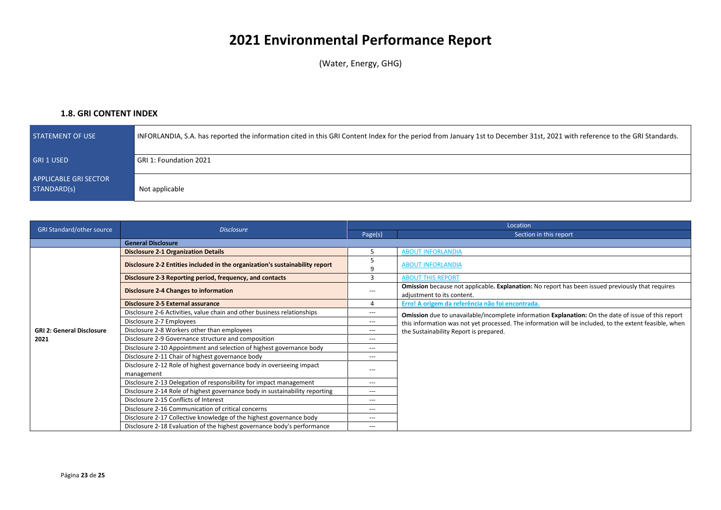(Water, Energy, GHG)

#### **1.8. GRI CONTENT INDEX**

| STATEMENT OF USE                            | INFORLANDIA, S.A. has reported the information cited in this GRI Content Index for the period from January 1st to December 31st, 2021 with reference to the GRI Standards. |
|---------------------------------------------|----------------------------------------------------------------------------------------------------------------------------------------------------------------------------|
| GRI 1 USED                                  | GRI 1: Foundation 2021                                                                                                                                                     |
| <b>APPLICABLE GRI SECTOR</b><br>STANDARD(s) | Not applicable                                                                                                                                                             |

<span id="page-22-0"></span>

| <b>GRI Standard/other source</b> | <b>Disclosure</b>                                                                  | Location                 |                                                                                                                                |  |  |
|----------------------------------|------------------------------------------------------------------------------------|--------------------------|--------------------------------------------------------------------------------------------------------------------------------|--|--|
|                                  |                                                                                    |                          | Section in this report                                                                                                         |  |  |
|                                  | <b>General Disclosure</b>                                                          |                          |                                                                                                                                |  |  |
|                                  | <b>Disclosure 2-1 Organization Details</b>                                         | 5                        | <b>ABOUT INFORLANDIA</b>                                                                                                       |  |  |
|                                  | Disclosure 2-2 Entities included in the organization's sustainability report       |                          | <b>ABOUT INFORLANDIA</b>                                                                                                       |  |  |
|                                  | Disclosure 2-3 Reporting period, frequency, and contacts                           | 3                        | <b>ABOUT THIS REPORT</b>                                                                                                       |  |  |
|                                  | <b>Disclosure 2-4 Changes to information</b>                                       | $---$                    | Omission because not applicable. Explanation: No report has been issued previously that requires<br>adjustment to its content. |  |  |
|                                  | Disclosure 2-5 External assurance                                                  |                          | Erro! A origem da referência não foi encontrada.                                                                               |  |  |
|                                  | Disclosure 2-6 Activities, value chain and other business relationships            | $\hspace{0.05cm} \ldots$ | Omission due to unavailable/incomplete information Explanation: On the date of issue of this report                            |  |  |
|                                  | Disclosure 2-7 Employees                                                           | $---$                    | this information was not yet processed. The information will be included, to the extent feasible, when                         |  |  |
| <b>GRI 2: General Disclosure</b> | Disclosure 2-8 Workers other than employees                                        | $---$                    | the Sustainability Report is prepared.                                                                                         |  |  |
| 2021                             | Disclosure 2-9 Governance structure and composition                                | $---$                    |                                                                                                                                |  |  |
|                                  | Disclosure 2-10 Appointment and selection of highest governance body               | $---$                    |                                                                                                                                |  |  |
|                                  | Disclosure 2-11 Chair of highest governance body                                   | $---$                    |                                                                                                                                |  |  |
|                                  | Disclosure 2-12 Role of highest governance body in overseeing impact<br>management | $- - -$                  |                                                                                                                                |  |  |
|                                  | Disclosure 2-13 Delegation of responsibility for impact management                 | $\hspace{0.05cm} \ldots$ |                                                                                                                                |  |  |
|                                  | Disclosure 2-14 Role of highest governance body in sustainability reporting        | $\hspace{0.05cm} \ldots$ |                                                                                                                                |  |  |
|                                  | Disclosure 2-15 Conflicts of Interest                                              | $---$                    |                                                                                                                                |  |  |
|                                  | Disclosure 2-16 Communication of critical concerns                                 | $---$                    |                                                                                                                                |  |  |
|                                  | Disclosure 2-17 Collective knowledge of the highest governance body                | $---$                    |                                                                                                                                |  |  |
|                                  | Disclosure 2-18 Evaluation of the highest governance body's performance            | $---$                    |                                                                                                                                |  |  |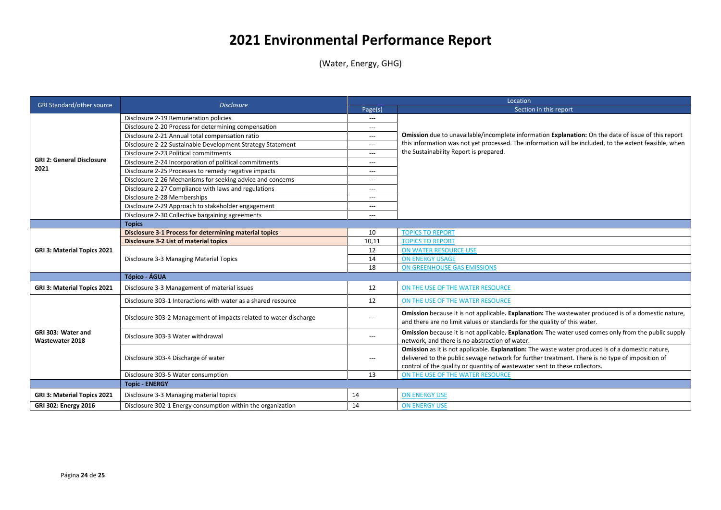(Water, Energy, GHG)

| <b>GRI Standard/other source</b>      | <b>Disclosure</b>                                                 | Location                 |                                                                                                                                                                                                                                                                                   |  |  |
|---------------------------------------|-------------------------------------------------------------------|--------------------------|-----------------------------------------------------------------------------------------------------------------------------------------------------------------------------------------------------------------------------------------------------------------------------------|--|--|
|                                       |                                                                   | Page(s)                  | Section in this report                                                                                                                                                                                                                                                            |  |  |
|                                       | Disclosure 2-19 Remuneration policies                             | $\cdots$                 |                                                                                                                                                                                                                                                                                   |  |  |
|                                       | Disclosure 2-20 Process for determining compensation              | $\hspace{0.05cm} \ldots$ |                                                                                                                                                                                                                                                                                   |  |  |
|                                       | Disclosure 2-21 Annual total compensation ratio                   | $\hspace{0.05cm} \ldots$ | Omission due to unavailable/incomplete information Explanation: On the date of issue of this report                                                                                                                                                                               |  |  |
|                                       | Disclosure 2-22 Sustainable Development Strategy Statement        | $\cdots$                 | this information was not yet processed. The information will be included, to the extent feasible, when                                                                                                                                                                            |  |  |
|                                       | Disclosure 2-23 Political commitments                             | $\hspace{0.05cm} \ldots$ | the Sustainability Report is prepared.                                                                                                                                                                                                                                            |  |  |
| <b>GRI 2: General Disclosure</b>      | Disclosure 2-24 Incorporation of political commitments            | $---$                    |                                                                                                                                                                                                                                                                                   |  |  |
| 2021                                  | Disclosure 2-25 Processes to remedy negative impacts              | $---$                    |                                                                                                                                                                                                                                                                                   |  |  |
|                                       | Disclosure 2-26 Mechanisms for seeking advice and concerns        | $\cdots$                 |                                                                                                                                                                                                                                                                                   |  |  |
|                                       | Disclosure 2-27 Compliance with laws and regulations              | $\hspace{0.05cm} \ldots$ |                                                                                                                                                                                                                                                                                   |  |  |
|                                       | Disclosure 2-28 Memberships                                       | $\hspace{0.05cm} \ldots$ |                                                                                                                                                                                                                                                                                   |  |  |
|                                       | Disclosure 2-29 Approach to stakeholder engagement                | $\hspace{0.05cm} \ldots$ |                                                                                                                                                                                                                                                                                   |  |  |
|                                       | Disclosure 2-30 Collective bargaining agreements                  | $---$                    |                                                                                                                                                                                                                                                                                   |  |  |
|                                       | <b>Topics</b>                                                     |                          |                                                                                                                                                                                                                                                                                   |  |  |
|                                       | Disclosure 3-1 Process for determining material topics            | 10                       | <b>TOPICS TO REPORT</b>                                                                                                                                                                                                                                                           |  |  |
| GRI 3: Material Topics 2021           | <b>Disclosure 3-2 List of material topics</b>                     | 10,11                    | <b>TOPICS TO REPORT</b>                                                                                                                                                                                                                                                           |  |  |
|                                       |                                                                   | 12                       | <b>ON WATER RESOURCE USE</b>                                                                                                                                                                                                                                                      |  |  |
|                                       | Disclosure 3-3 Managing Material Topics                           | 14                       | <b>ON ENERGY USAGE</b>                                                                                                                                                                                                                                                            |  |  |
|                                       |                                                                   | 18                       | ON GREENHOUSE GAS EMISSIONS                                                                                                                                                                                                                                                       |  |  |
|                                       | <b>Tópico - ÁGUA</b>                                              |                          |                                                                                                                                                                                                                                                                                   |  |  |
| GRI 3: Material Topics 2021           | Disclosure 3-3 Management of material issues                      | 12                       | ON THE USE OF THE WATER RESOURCE                                                                                                                                                                                                                                                  |  |  |
|                                       | Disclosure 303-1 Interactions with water as a shared resource     | 12                       | ON THE USE OF THE WATER RESOURCE                                                                                                                                                                                                                                                  |  |  |
|                                       | Disclosure 303-2 Management of impacts related to water discharge | $\hspace{0.05cm} \ldots$ | Omission because it is not applicable. Explanation: The wastewater produced is of a domestic nature,<br>and there are no limit values or standards for the quality of this water.                                                                                                 |  |  |
| GRI 303: Water and<br>Wastewater 2018 | Disclosure 303-3 Water withdrawal                                 | $\hspace{0.05cm} \ldots$ | <b>Omission</b> because it is not applicable. <b>Explanation:</b> The water used comes only from the public supply<br>network, and there is no abstraction of water.                                                                                                              |  |  |
|                                       | Disclosure 303-4 Discharge of water                               | $\hspace{0.05cm} \ldots$ | Omission as it is not applicable. Explanation: The waste water produced is of a domestic nature,<br>delivered to the public sewage network for further treatment. There is no type of imposition of<br>control of the quality or quantity of wastewater sent to these collectors. |  |  |
|                                       | Disclosure 303-5 Water consumption                                | 13                       | ON THE USE OF THE WATER RESOURCE                                                                                                                                                                                                                                                  |  |  |
|                                       | <b>Topic - ENERGY</b>                                             |                          |                                                                                                                                                                                                                                                                                   |  |  |
| GRI 3: Material Topics 2021           | Disclosure 3-3 Managing material topics                           | 14                       | <b>ON ENERGY USE</b>                                                                                                                                                                                                                                                              |  |  |
| GRI 302: Energy 2016                  | Disclosure 302-1 Energy consumption within the organization       | 14                       | <b>ON ENERGY USE</b>                                                                                                                                                                                                                                                              |  |  |